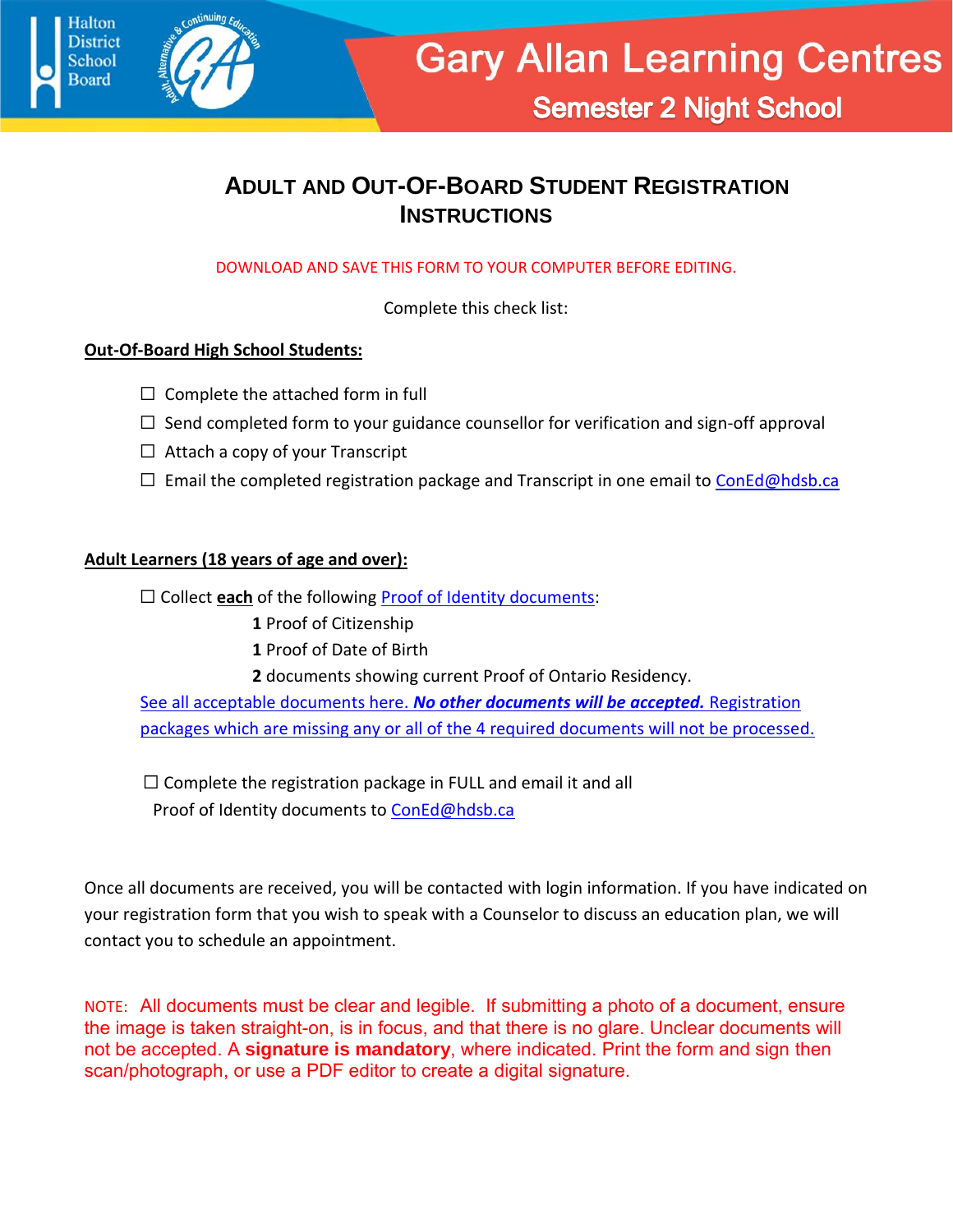



**Semester 2 Night School** 

### **ADULT AND OUT-OF-BOARD STUDENT REGISTRATION INSTRUCTIONS**

DOWNLOAD AND SAVE THIS FORM TO YOUR COMPUTER BEFORE EDITING.

Complete this check list:

### **Out-Of-Board High School Students:**

- $\Box$  Complete the attached form in full
- $\Box$  Send completed form to your guidance counsellor for verification and sign-off approval
- $\Box$  Attach a copy of your Transcript
- $\Box$  Email the completed registration package and Transcript in one email to [ConEd@hdsb.ca](file://///GABSERVER/holtr$/ConEd/Adult%20eCredit/ConEd@hdsb.ca)

#### **Adult Learners (18 years of age and over):**

□ Collect **each** of the following **Proof of Identity documents:** 

- **1** Proof of Citizenship
- **1** Proof of Date of Birth
- **2** documents showing current Proof of Ontario Residency.

[See all acceptable documents here.](https://garyallan.ca/wp-content/uploads/2020/06/Proof-of-Residency-Verification.pdf) *No other documents will be accepted.* Registration packages which are missing any or all of the 4 required documents will not be processed.

 $\Box$  Complete the registration package in FULL and email it and all Proof of Identity documents to [ConEd@hdsb.ca](mailto:ConEd@hdsb.ca)

Once all documents are received, you will be contacted with login information. If you have indicated on your registration form that you wish to speak with a Counselor to discuss an education plan, we will contact you to schedule an appointment.

NOTE: All documents must be clear and legible. If submitting a photo of a document, ensure the image is taken straight-on, is in focus, and that there is no glare. Unclear documents will not be accepted. A **signature is mandatory**, where indicated. Print the form and sign then scan/photograph, or use a PDF editor to create a digital signature.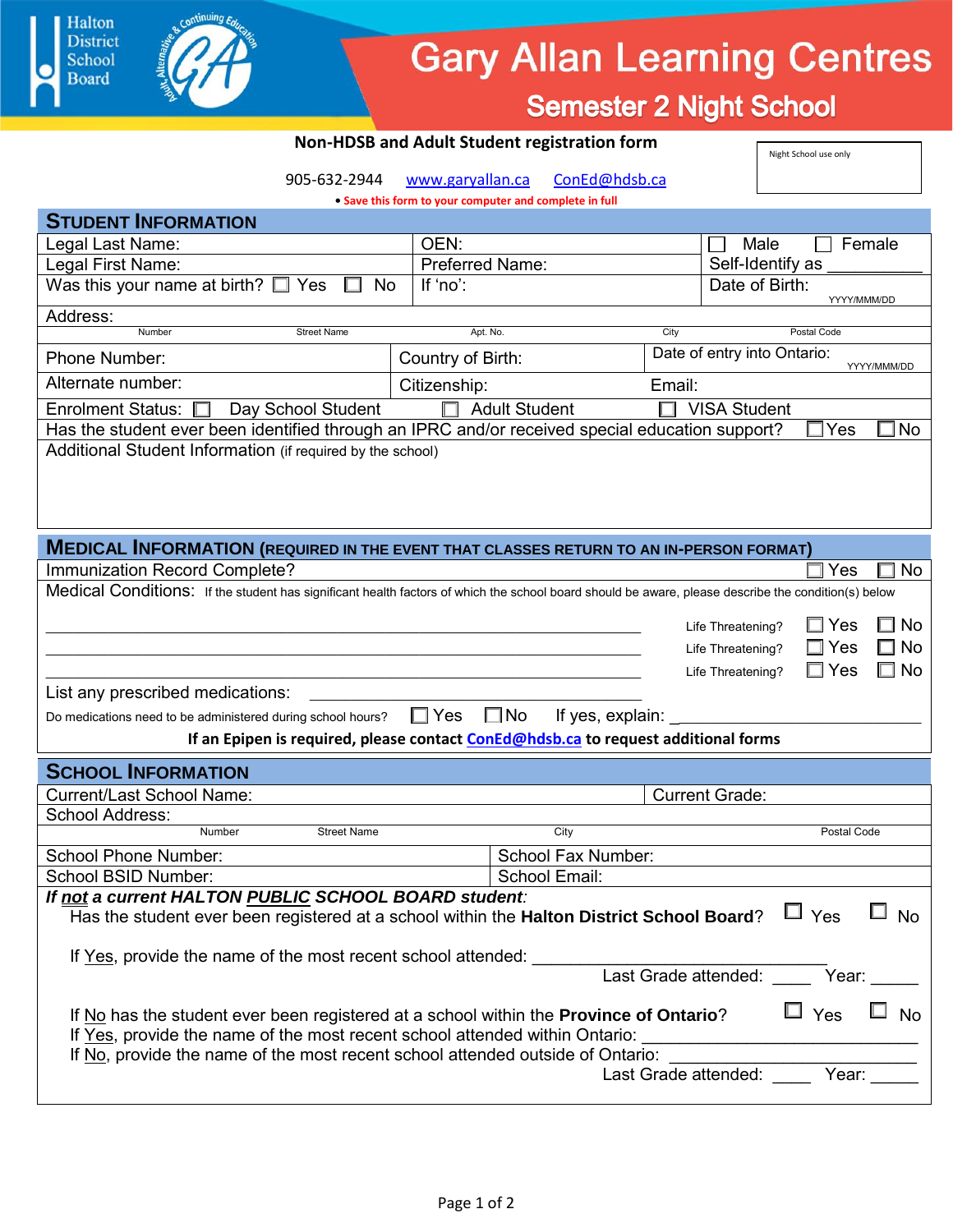## **Gary Allan Learning Centres**

**Semester 2 Night School** 

Night School use only

#### **Non-HDSB and Adult Student registration form**

905-632-2944 [www.garyallan.ca](http://www.garyallan.ca/) [ConEd@hdsb.ca](mailto:ConEd@hdsb.ca)

**• Save this form to your computer and complete in full**

| <b>STUDENT INFORMATION</b>                                                                                                                          |                                                  |                                            |           |  |  |  |  |  |  |
|-----------------------------------------------------------------------------------------------------------------------------------------------------|--------------------------------------------------|--------------------------------------------|-----------|--|--|--|--|--|--|
| Legal Last Name:                                                                                                                                    | OEN:                                             | Male<br>Female                             |           |  |  |  |  |  |  |
| Legal First Name:                                                                                                                                   | <b>Preferred Name:</b>                           | Self-Identify as                           |           |  |  |  |  |  |  |
| Was this your name at birth? $\square$ Yes<br><b>No</b>                                                                                             | If 'no':                                         | Date of Birth:<br>YYYY/MMM/DD              |           |  |  |  |  |  |  |
| Address:                                                                                                                                            |                                                  |                                            |           |  |  |  |  |  |  |
| Number<br><b>Street Name</b>                                                                                                                        | Apt. No.                                         | City<br>Postal Code                        |           |  |  |  |  |  |  |
| Phone Number:                                                                                                                                       | Country of Birth:                                | Date of entry into Ontario:<br>YYYY/MMM/DD |           |  |  |  |  |  |  |
| Alternate number:                                                                                                                                   | Citizenship:                                     | Email:                                     |           |  |  |  |  |  |  |
| <b>Enrolment Status:</b><br>Day School Student                                                                                                      | П<br><b>Adult Student</b><br><b>VISA Student</b> |                                            |           |  |  |  |  |  |  |
| Has the student ever been identified through an IPRC and/or received special education support?<br>No<br>Yes                                        |                                                  |                                            |           |  |  |  |  |  |  |
| Additional Student Information (if required by the school)                                                                                          |                                                  |                                            |           |  |  |  |  |  |  |
| <b>MEDICAL INFORMATION (REQUIRED IN THE EVENT THAT CLASSES RETURN TO AN IN-PERSON FORMAT)</b>                                                       |                                                  |                                            |           |  |  |  |  |  |  |
| Immunization Record Complete?                                                                                                                       |                                                  | Yes                                        | No        |  |  |  |  |  |  |
| Medical Conditions: If the student has significant health factors of which the school board should be aware, please describe the condition(s) below |                                                  |                                            |           |  |  |  |  |  |  |
|                                                                                                                                                     |                                                  | $\square$ Yes                              | <b>No</b> |  |  |  |  |  |  |
|                                                                                                                                                     |                                                  | Life Threatening?<br>$\square$ Yes         | No        |  |  |  |  |  |  |
|                                                                                                                                                     |                                                  | Life Threatening?<br>$\Box$ Yes            | No        |  |  |  |  |  |  |
| List any prescribed medications:                                                                                                                    |                                                  | Life Threatening?                          |           |  |  |  |  |  |  |
| $\square$ No<br>$\square$ Yes<br>If yes, explain:<br>Do medications need to be administered during school hours?                                    |                                                  |                                            |           |  |  |  |  |  |  |
| If an Epipen is required, please contact ConEd@hdsb.ca to request additional forms                                                                  |                                                  |                                            |           |  |  |  |  |  |  |
| <b>SCHOOL INFORMATION</b>                                                                                                                           |                                                  |                                            |           |  |  |  |  |  |  |
| <b>Current/Last School Name:</b>                                                                                                                    |                                                  |                                            |           |  |  |  |  |  |  |
| School Address:                                                                                                                                     |                                                  | <b>Current Grade:</b>                      |           |  |  |  |  |  |  |
| Number<br><b>Street Name</b>                                                                                                                        | City                                             | Postal Code                                |           |  |  |  |  |  |  |
| <b>School Phone Number:</b>                                                                                                                         | School Fax Number:                               |                                            |           |  |  |  |  |  |  |
| School BSID Number:                                                                                                                                 | School Email:                                    |                                            |           |  |  |  |  |  |  |
| If not a current HALTON PUBLIC SCHOOL BOARD student:                                                                                                |                                                  |                                            |           |  |  |  |  |  |  |
| Has the student ever been registered at a school within the Halton District School Board?                                                           |                                                  | $\Box$ Yes $\Box$ No                       |           |  |  |  |  |  |  |
|                                                                                                                                                     |                                                  |                                            |           |  |  |  |  |  |  |
|                                                                                                                                                     |                                                  |                                            |           |  |  |  |  |  |  |
| If Yes, provide the name of the most recent school attended: Last Grade attended: Vear:                                                             |                                                  |                                            |           |  |  |  |  |  |  |
| If No has the student ever been registered at a school within the Province of Ontario?                                                              |                                                  | $\Box$ Yes $\Box$ No                       |           |  |  |  |  |  |  |
| If Yes, provide the name of the most recent school attended within Ontario: _________________________________                                       |                                                  |                                            |           |  |  |  |  |  |  |
| If No, provide the name of the most recent school attended outside of Ontario:                                                                      |                                                  |                                            |           |  |  |  |  |  |  |
|                                                                                                                                                     |                                                  |                                            |           |  |  |  |  |  |  |